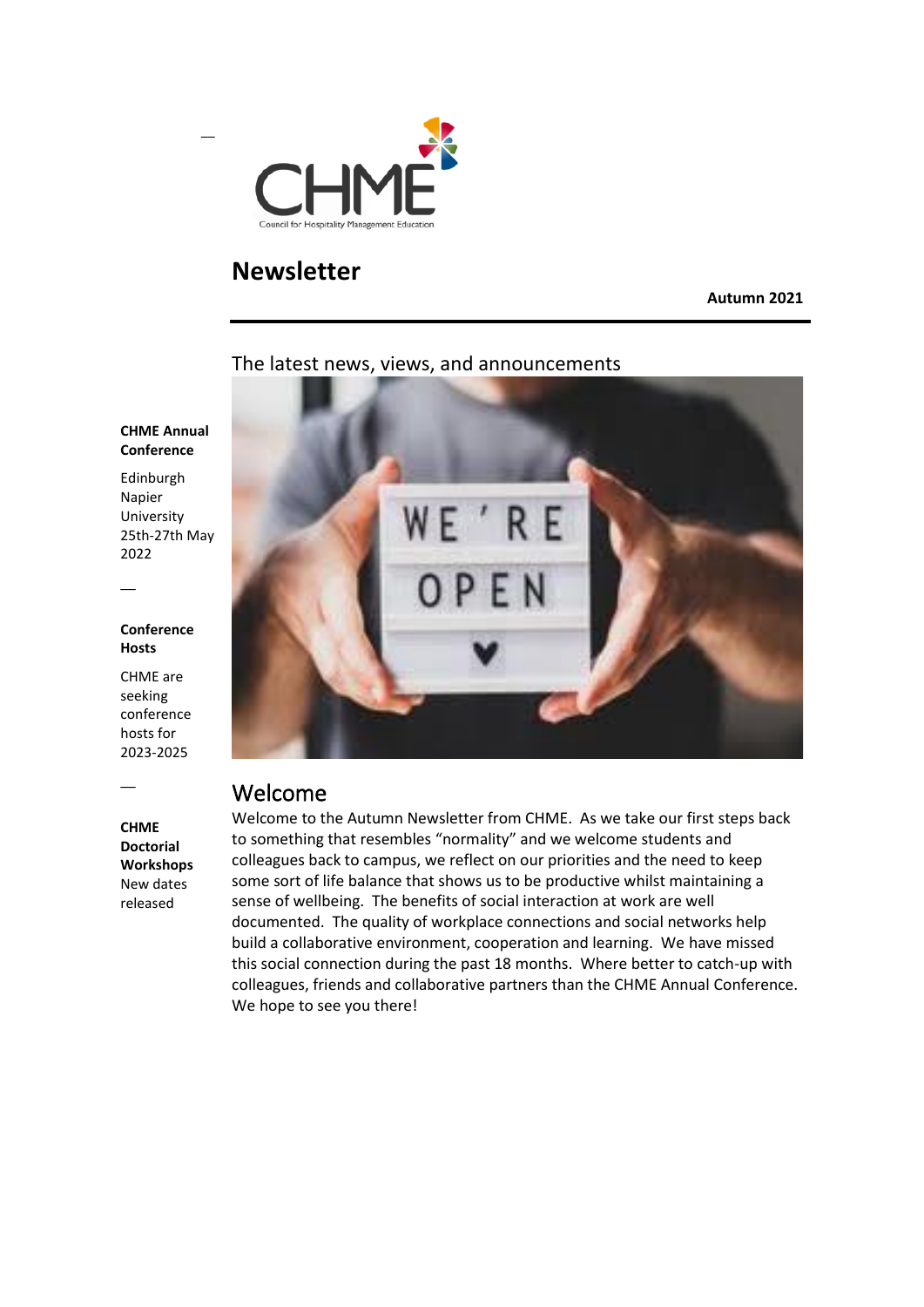

### **Newsletter**

**Autumn 2021**

#### The latest news, views, and announcements

#### **CHME Annual Conference**

Edinburgh Napier University 25th-27th May 2022

#### **Conference Hosts**

 $\overline{\phantom{a}}$ 

 $\overline{\phantom{a}}$ 

CHME are seeking conference hosts for 2023-2025

**CHME Doctorial Workshops** New dates released



### Welcome

Welcome to the Autumn Newsletter from CHME. As we take our first steps back to something that resembles "normality" and we welcome students and colleagues back to campus, we reflect on our priorities and the need to keep some sort of life balance that shows us to be productive whilst maintaining a sense of wellbeing. The benefits of social interaction at work are well documented. The quality of workplace connections and social networks help build a collaborative environment, cooperation and learning. We have missed this social connection during the past 18 months. Where better to catch-up with colleagues, friends and collaborative partners than the CHME Annual Conference. We hope to see you there!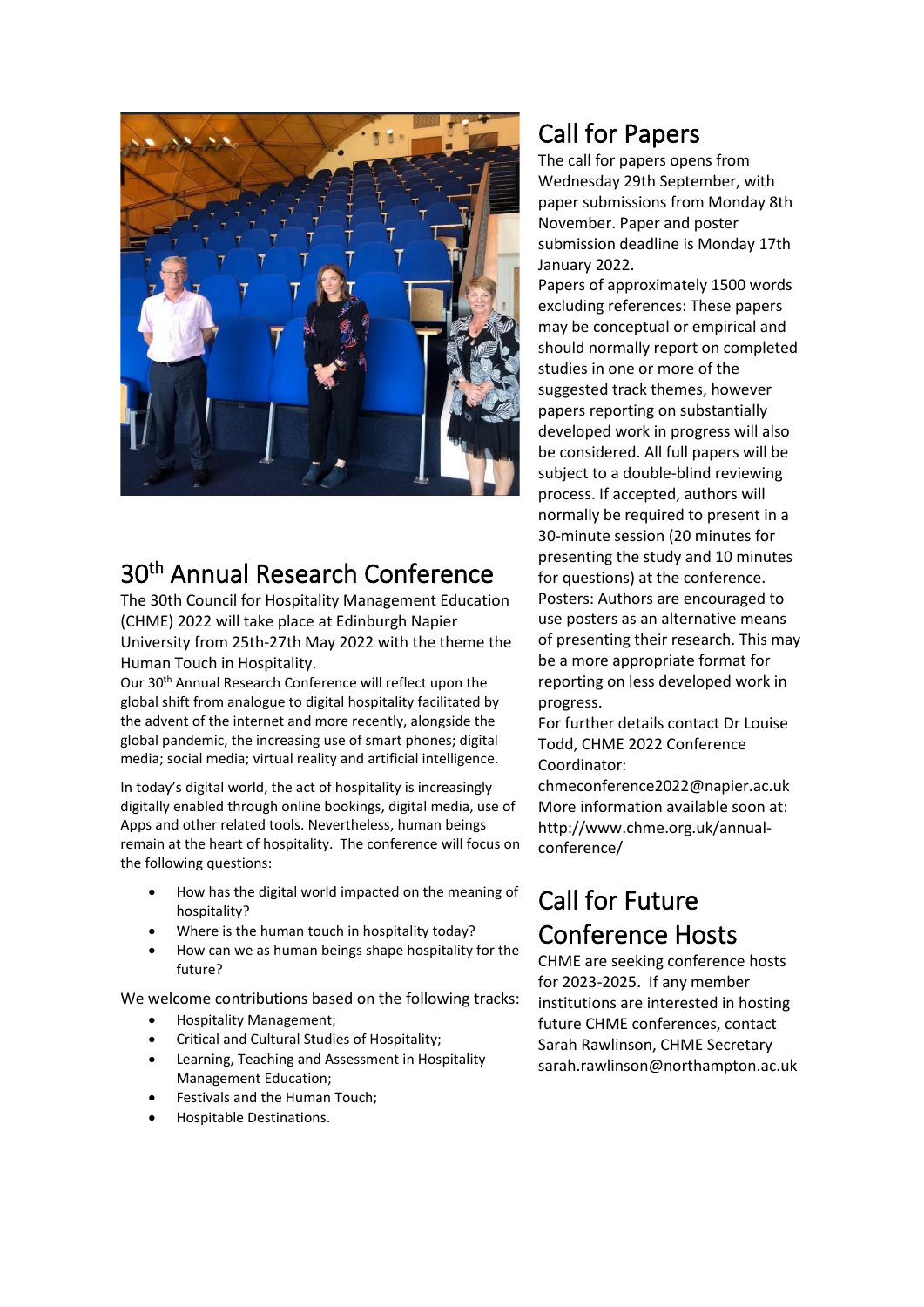

# 30<sup>th</sup> Annual Research Conference

The 30th Council for Hospitality Management Education (CHME) 2022 will take place at Edinburgh Napier University from 25th-27th May 2022 with the theme the Human Touch in Hospitality.

Our 30<sup>th</sup> Annual Research Conference will reflect upon the global shift from analogue to digital hospitality facilitated by the advent of the internet and more recently, alongside the global pandemic, the increasing use of smart phones; digital media; social media; virtual reality and artificial intelligence.

In today's digital world, the act of hospitality is increasingly digitally enabled through online bookings, digital media, use of Apps and other related tools. Nevertheless, human beings remain at the heart of hospitality. The conference will focus on the following questions:

- How has the digital world impacted on the meaning of hospitality?
- Where is the human touch in hospitality today?
- How can we as human beings shape hospitality for the future?

We welcome contributions based on the following tracks:

- Hospitality Management;
- Critical and Cultural Studies of Hospitality;
- Learning, Teaching and Assessment in Hospitality Management Education;
- Festivals and the Human Touch;
- Hospitable Destinations.

# Call for Papers

The call for papers opens from Wednesday 29th September, with paper submissions from Monday 8th November. Paper and poster submission deadline is Monday 17th January 2022.

Papers of approximately 1500 words excluding references: These papers may be conceptual or empirical and should normally report on completed studies in one or more of the suggested track themes, however papers reporting on substantially developed work in progress will also be considered. All full papers will be subject to a double-blind reviewing process. If accepted, authors will normally be required to present in a 30-minute session (20 minutes for presenting the study and 10 minutes for questions) at the conference. Posters: Authors are encouraged to use posters as an alternative means of presenting their research. This may be a more appropriate format for reporting on less developed work in progress.

For further details contact Dr Louise Todd, CHME 2022 Conference Coordinator:

chmeconference2022@napier.ac.uk More information available soon at: http://www.chme.org.uk/annualconference/

# Call for Future Conference Hosts

CHME are seeking conference hosts for 2023-2025. If any member institutions are interested in hosting future CHME conferences, contact Sarah Rawlinson, CHME Secretary sarah.rawlinson@northampton.ac.uk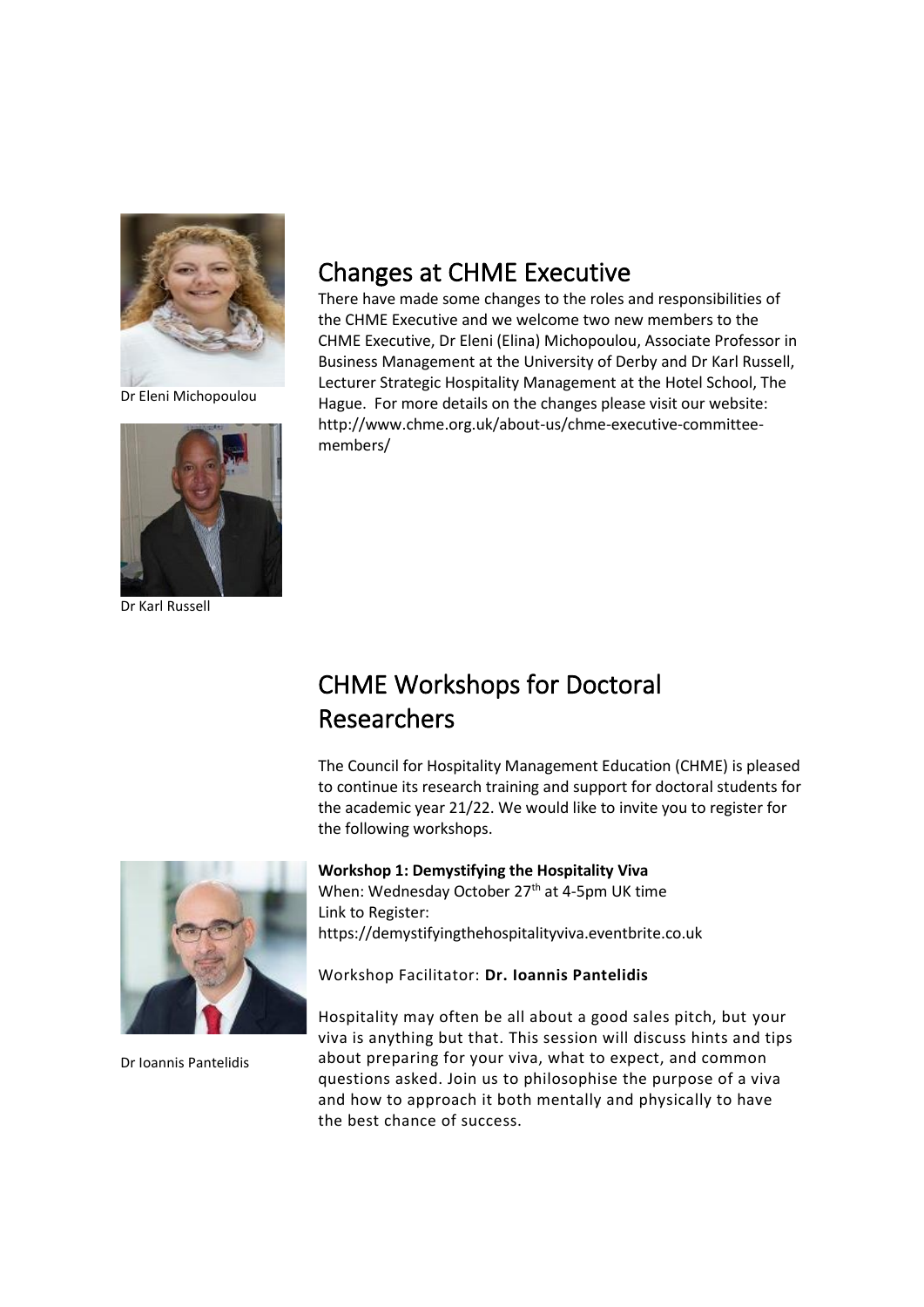

Dr Eleni Michopoulou



Dr Karl Russell

## Changes at CHME Executive

There have made some changes to the roles and responsibilities of the CHME Executive and we welcome two new members to the CHME Executive, Dr Eleni (Elina) Michopoulou, Associate Professor in Business Management at the University of Derby and Dr Karl Russell, Lecturer Strategic Hospitality Management at the Hotel School, The Hague. For more details on the changes please visit our website: http://www.chme.org.uk/about-us/chme-executive-committeemembers/

# CHME Workshops for Doctoral Researchers

The Council for Hospitality Management Education (CHME) is pleased to continue its research training and support for doctoral students for the academic year 21/22. We would like to invite you to register for the following workshops.



Dr Ioannis Pantelidis

**Workshop 1: Demystifying the Hospitality Viva** When: Wednesday October 27<sup>th</sup> at 4-5pm UK time

Link to Register: https://demystifyingthehospitalityviva.eventbrite.co.uk

Workshop Facilitator: **Dr. Ioannis Pantelidis**

Hospitality may often be all about a good sales pitch, but your viva is anything but that. This session will discuss hints and tips about preparing for your viva, what to expect, and common questions asked. Join us to philosophise the purpose of a viva and how to approach it both mentally and physically to have the best chance of success.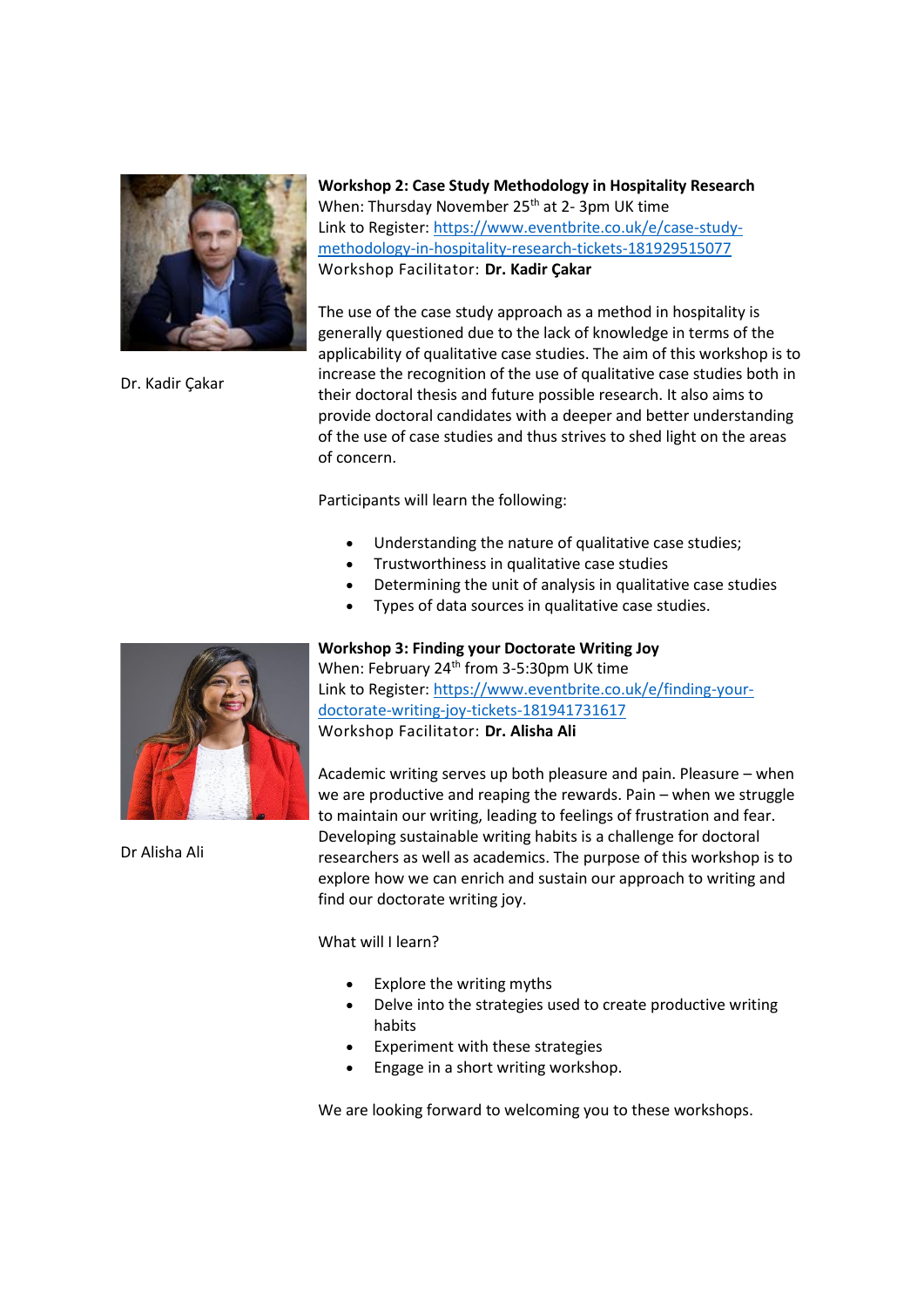

Dr. Kadir Çakar

**Workshop 2: Case Study Methodology in Hospitality Research** When: Thursday November 25<sup>th</sup> at 2-3pm UK time Link to Register: https://www.eventbrite.co.uk/e/case-studymethodology-in-hospitality-research-tickets-181929515077 Workshop Facilitator: **Dr. Kadir Çakar**

The use of the case study approach as a method in hospitality is generally questioned due to the lack of knowledge in terms of the applicability of qualitative case studies. The aim of this workshop is to increase the recognition of the use of qualitative case studies both in their doctoral thesis and future possible research. It also aims to provide doctoral candidates with a deeper and better understanding of the use of case studies and thus strives to shed light on the areas of concern.

Participants will learn the following:

- Understanding the nature of qualitative case studies;
- Trustworthiness in qualitative case studies
- Determining the unit of analysis in qualitative case studies
- Types of data sources in qualitative case studies.

Dr Alisha Ali

#### **Workshop 3: Finding your Doctorate Writing Joy**

When: February 24<sup>th</sup> from 3-5:30pm UK time Link to Register: https://www.eventbrite.co.uk/e/finding-yourdoctorate-writing-joy-tickets-181941731617 Workshop Facilitator: **Dr. Alisha Ali**

Academic writing serves up both pleasure and pain. Pleasure – when we are productive and reaping the rewards. Pain – when we struggle to maintain our writing, leading to feelings of frustration and fear. Developing sustainable writing habits is a challenge for doctoral researchers as well as academics. The purpose of this workshop is to explore how we can enrich and sustain our approach to writing and find our doctorate writing joy.

What will I learn?

- Explore the writing myths
- Delve into the strategies used to create productive writing habits
- Experiment with these strategies
- Engage in a short writing workshop.

We are looking forward to welcoming you to these workshops.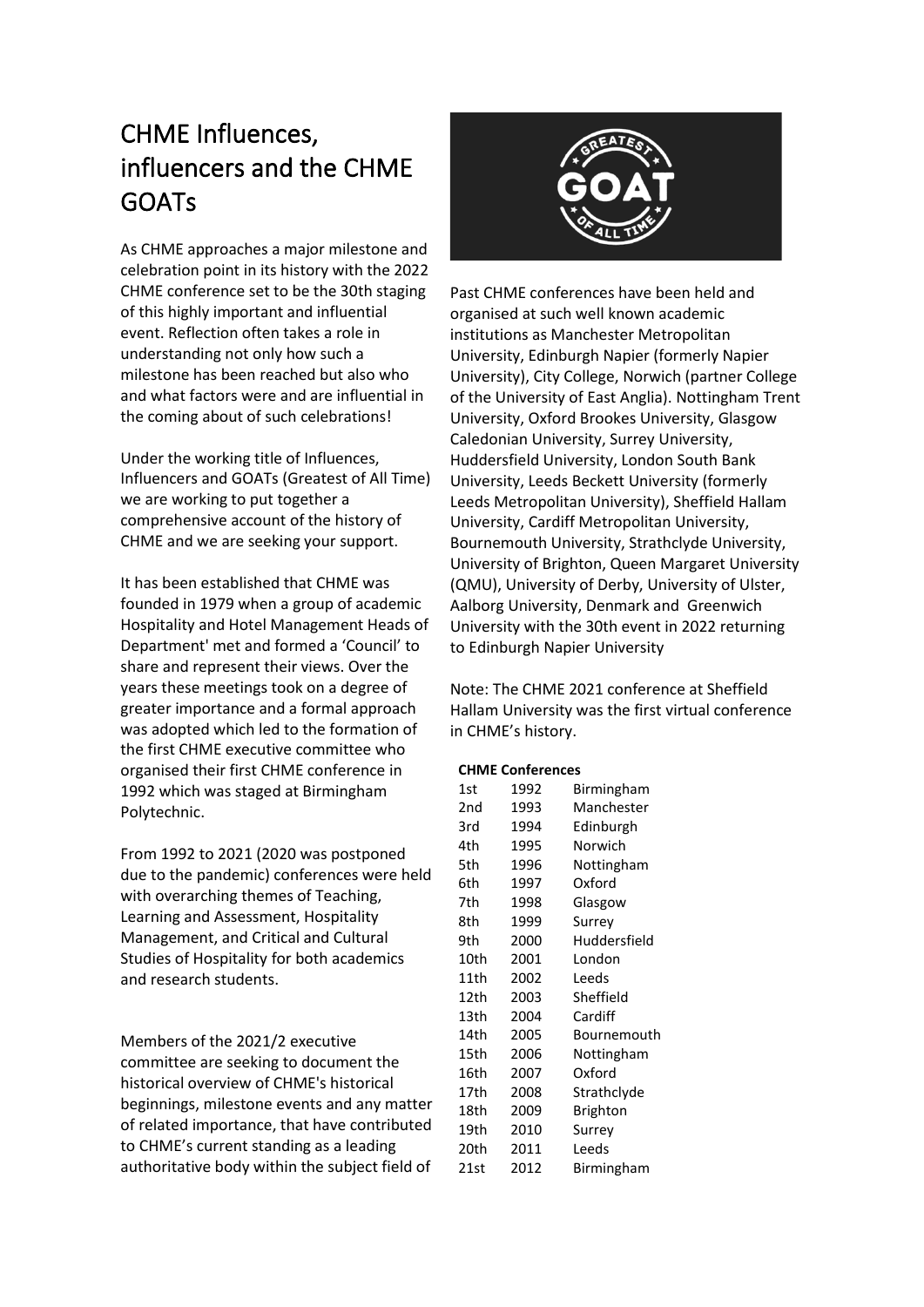# CHME Influences, influencers and the CHME GOATs

As CHME approaches a major milestone and celebration point in its history with the 2022 CHME conference set to be the 30th staging of this highly important and influential event. Reflection often takes a role in understanding not only how such a milestone has been reached but also who and what factors were and are influential in the coming about of such celebrations!

Under the working title of Influences, Influencers and GOATs (Greatest of All Time) we are working to put together a comprehensive account of the history of CHME and we are seeking your support.

It has been established that CHME was founded in 1979 when a group of academic Hospitality and Hotel Management Heads of Department' met and formed a 'Council' to share and represent their views. Over the years these meetings took on a degree of greater importance and a formal approach was adopted which led to the formation of the first CHME executive committee who organised their first CHME conference in 1992 which was staged at Birmingham Polytechnic.

From 1992 to 2021 (2020 was postponed due to the pandemic) conferences were held with overarching themes of Teaching, Learning and Assessment, Hospitality Management, and Critical and Cultural Studies of Hospitality for both academics and research students.

Members of the 2021/2 executive committee are seeking to document the historical overview of CHME's historical beginnings, milestone events and any matter of related importance, that have contributed to CHME's current standing as a leading authoritative body within the subject field of



Past CHME conferences have been held and organised at such well known academic institutions as Manchester Metropolitan University, Edinburgh Napier (formerly Napier University), City College, Norwich (partner College of the University of East Anglia). Nottingham Trent University, Oxford Brookes University, Glasgow Caledonian University, Surrey University, Huddersfield University, London South Bank University, Leeds Beckett University (formerly Leeds Metropolitan University), Sheffield Hallam University, Cardiff Metropolitan University, Bournemouth University, Strathclyde University, University of Brighton, Queen Margaret University (QMU), University of Derby, University of Ulster, Aalborg University, Denmark and Greenwich University with the 30th event in 2022 returning to Edinburgh Napier University

Note: The CHME 2021 conference at Sheffield Hallam University was the first virtual conference in CHME's history.

#### **CHME Conferences**

| 1st  | 1992 | Birmingham   |
|------|------|--------------|
| 2nd  | 1993 | Manchester   |
| 3rd  | 1994 | Edinburgh    |
| 4th  | 1995 | Norwich      |
| 5th  | 1996 | Nottingham   |
| 6th  | 1997 | Oxford       |
| 7th  | 1998 | Glasgow      |
| 8th  | 1999 | Surrey       |
| 9th  | 2000 | Huddersfield |
| 10th | 2001 | London       |
| 11th | 2002 | Leeds        |
| 12th | 2003 | Sheffield    |
| 13th | 2004 | Cardiff      |
| 14th | 2005 | Bournemouth  |
| 15th | 2006 | Nottingham   |
| 16th | 2007 | Oxford       |
| 17th | 2008 | Strathclyde  |
| 18th | 2009 | Brighton     |
| 19th | 2010 | Surrey       |
| 20th | 2011 | Leeds        |
| 21st | 2012 | Birmingham   |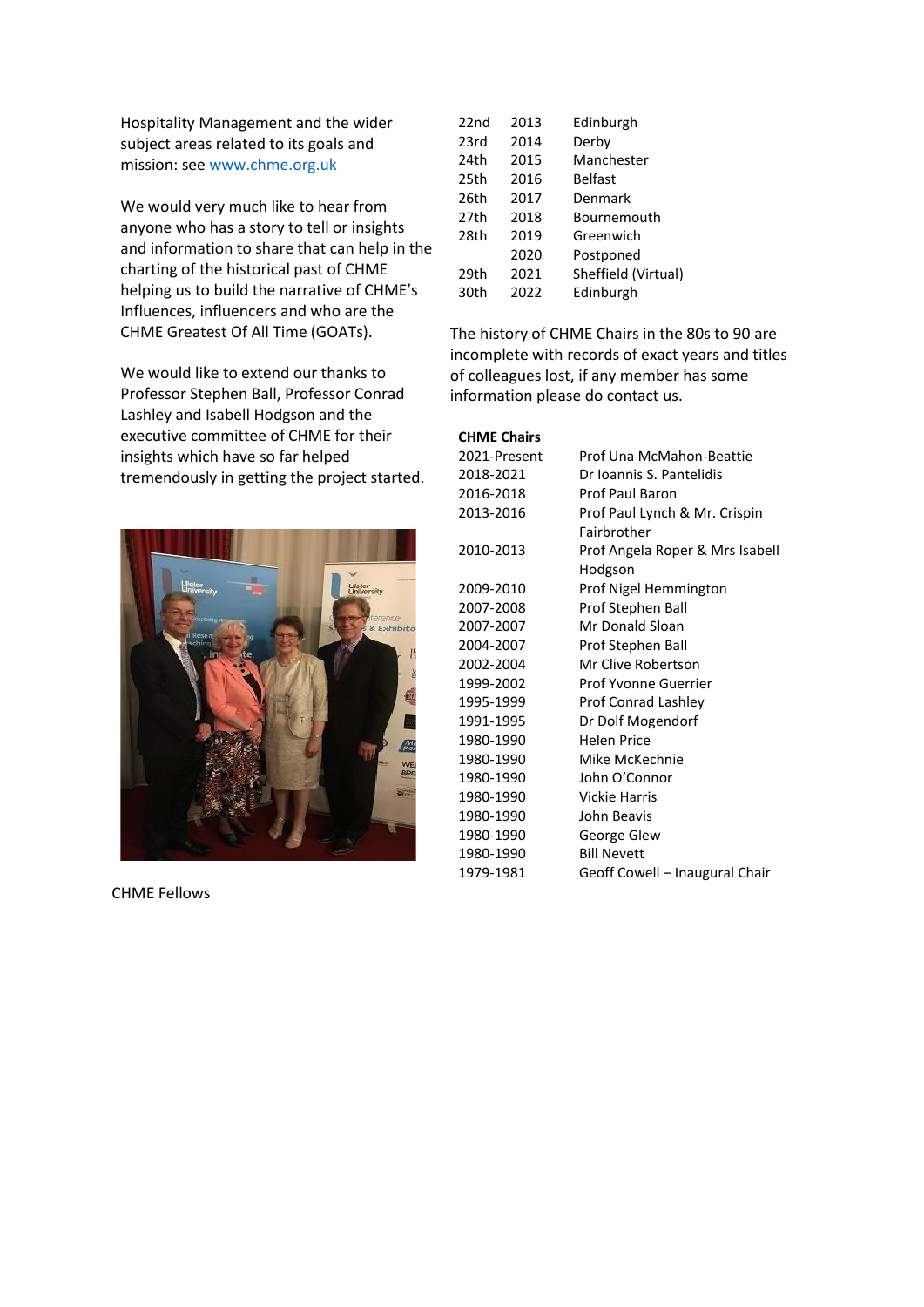Hospitality Management and the wider subject areas related to its goals and mission: see www.chme.org.uk

We would very much like to hear from anyone who has a story to tell or insights and information to share that can help in the charting of the historical past of CHME helping us to build the narrative of CHME's Influences, influencers and who are the CHME Greatest Of All Time (GOATs).

We would like to extend our thanks to Professor Stephen Ball, Professor Conrad Lashley and Isabell Hodgson and the executive committee of CHME for their insights which have so far helped tremendously in getting the project started.



CHME Fellows

| $22n$ d | 2013 | Edinburgh           |
|---------|------|---------------------|
| 23rd    | 2014 | Derby               |
| 24th    | 2015 | Manchester          |
| 25th    | 2016 | <b>Belfast</b>      |
| 26th    | 2017 | Denmark             |
| 27th    | 2018 | Bournemouth         |
| 28th    | 2019 | Greenwich           |
|         | 2020 | Postponed           |
| 29th    | 2021 | Sheffield (Virtual) |
| 30th    | 2022 | Edinburgh           |

The history of CHME Chairs in the 80s to 90 are incomplete with records of exact years and titles of colleagues lost, if any member has some information please do contact us.

#### **CHME Chairs**

| 2021-Present | Prof Una McMahon-Beattie        |
|--------------|---------------------------------|
| 2018-2021    | Dr Ioannis S. Pantelidis        |
| 2016-2018    | Prof Paul Baron                 |
| 2013-2016    | Prof Paul Lynch & Mr. Crispin   |
|              | Fairbrother                     |
| 2010-2013    | Prof Angela Roper & Mrs Isabell |
|              | Hodgson                         |
| 2009-2010    | Prof Nigel Hemmington           |
| 2007-2008    | Prof Stephen Ball               |
| 2007-2007    | Mr Donald Sloan                 |
| 2004-2007    | Prof Stephen Ball               |
| 2002-2004    | Mr Clive Robertson              |
| 1999-2002    | Prof Yvonne Guerrier            |
| 1995-1999    | Prof Conrad Lashley             |
| 1991-1995    | Dr Dolf Mogendorf               |
| 1980-1990    | <b>Helen Price</b>              |
| 1980-1990    | Mike McKechnie                  |
| 1980-1990    | John O'Connor                   |
| 1980-1990    | Vickie Harris                   |
| 1980-1990    | John Beavis                     |
| 1980-1990    | George Glew                     |
| 1980-1990    | <b>Bill Nevett</b>              |
| 1979-1981    | Geoff Cowell - Inaugural Chair  |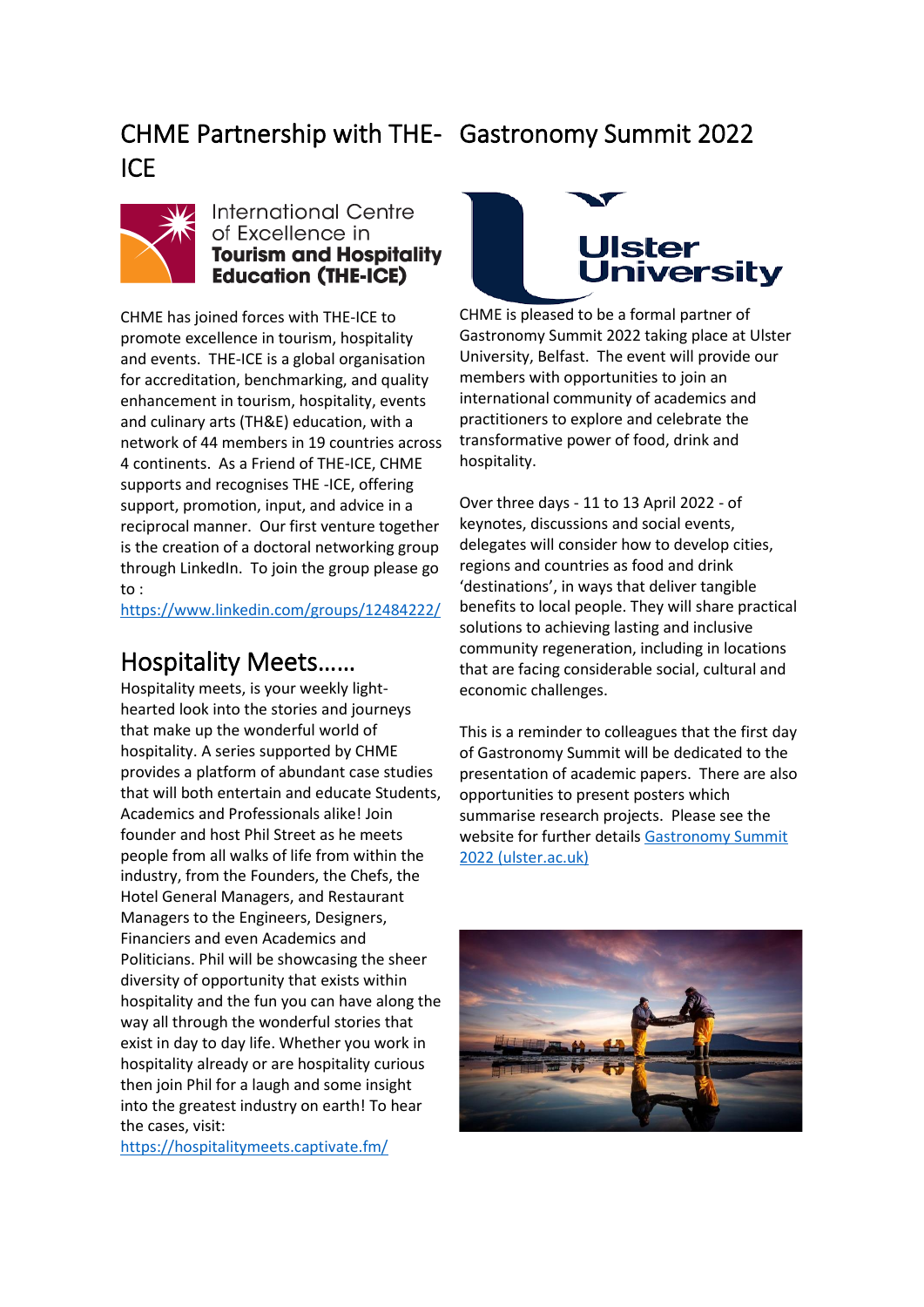# CHME Partnership with THE-Gastronomy Summit 2022 ICE



#### **International Centre** of Excellence in **Tourism and Hospitality Education (THE-ICE)**

CHME has joined forces with THE-ICE to promote excellence in tourism, hospitality and events. THE-ICE is a global organisation for accreditation, benchmarking, and quality enhancement in tourism, hospitality, events and culinary arts (TH&E) education, with a network of 44 members in 19 countries across 4 continents. As a Friend of THE-ICE, CHME supports and recognises THE -ICE, offering support, promotion, input, and advice in a reciprocal manner. Our first venture together is the creation of a doctoral networking group through LinkedIn. To join the group please go to :

https://www.linkedin.com/groups/12484222/

# Hospitality Meets……

Hospitality meets, is your weekly lighthearted look into the stories and journeys that make up the wonderful world of hospitality. A series supported by CHME provides a platform of abundant case studies that will both entertain and educate Students, Academics and Professionals alike! Join founder and host Phil Street as he meets people from all walks of life from within the industry, from the Founders, the Chefs, the Hotel General Managers, and Restaurant Managers to the Engineers, Designers, Financiers and even Academics and Politicians. Phil will be showcasing the sheer diversity of opportunity that exists within hospitality and the fun you can have along the way all through the wonderful stories that exist in day to day life. Whether you work in hospitality already or are hospitality curious then join Phil for a laugh and some insight into the greatest industry on earth! To hear the cases, visit:

https://hospitalitymeets.captivate.fm/



CHME is pleased to be a formal partner of Gastronomy Summit 2022 taking place at Ulster University, Belfast. The event will provide our members with opportunities to join an international community of academics and practitioners to explore and celebrate the transformative power of food, drink and hospitality.

Over three days - 11 to 13 April 2022 - of keynotes, discussions and social events, delegates will consider how to develop cities, regions and countries as food and drink 'destinations', in ways that deliver tangible benefits to local people. They will share practical solutions to achieving lasting and inclusive community regeneration, including in locations that are facing considerable social, cultural and economic challenges.

This is a reminder to colleagues that the first day of Gastronomy Summit will be dedicated to the presentation of academic papers. There are also opportunities to present posters which summarise research projects. Please see the website for further details Gastronomy Summit 2022 (ulster.ac.uk)

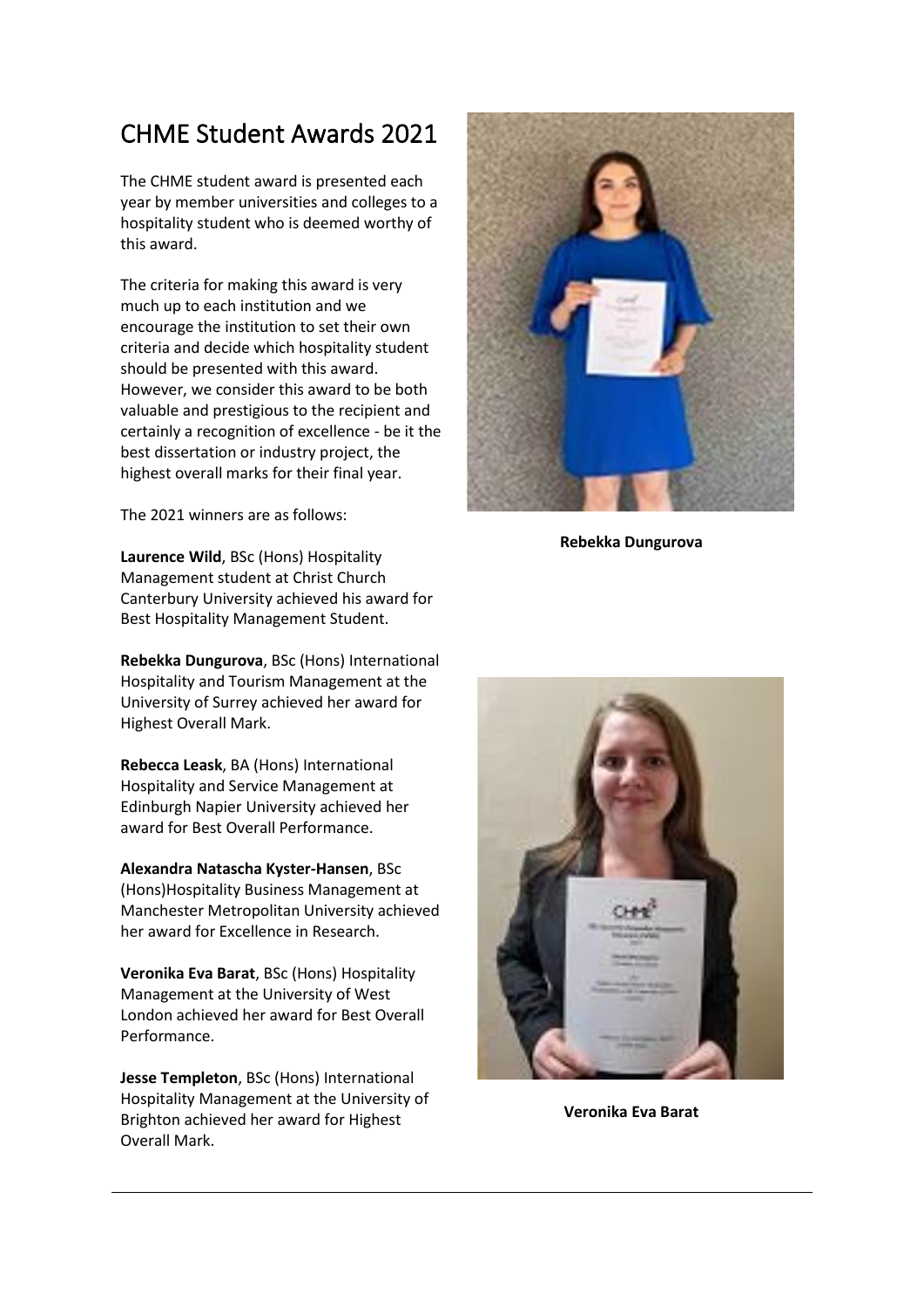# CHME Student Awards 2021

The CHME student award is presented each year by member universities and colleges to a hospitality student who is deemed worthy of this award.

The criteria for making this award is very much up to each institution and we encourage the institution to set their own criteria and decide which hospitality student should be presented with this award. However, we consider this award to be both valuable and prestigious to the recipient and certainly a recognition of excellence - be it the best dissertation or industry project, the highest overall marks for their final year.

The 2021 winners are as follows:

**Laurence Wild**, BSc (Hons) Hospitality Management student at Christ Church Canterbury University achieved his award for Best Hospitality Management Student.

**Rebekka Dungurova**, BSc (Hons) International Hospitality and Tourism Management at the University of Surrey achieved her award for Highest Overall Mark.

**Rebecca Leask**, BA (Hons) International Hospitality and Service Management at Edinburgh Napier University achieved her award for Best Overall Performance.

**Alexandra Natascha Kyster-Hansen**, BSc (Hons)Hospitality Business Management at Manchester Metropolitan University achieved her award for Excellence in Research.

**Veronika Eva Barat**, BSc (Hons) Hospitality Management at the University of West London achieved her award for Best Overall Performance.

**Jesse Templeton**, BSc (Hons) International Hospitality Management at the University of Brighton achieved her award for Highest Overall Mark.



**Rebekka Dungurova**



**Veronika Eva Barat**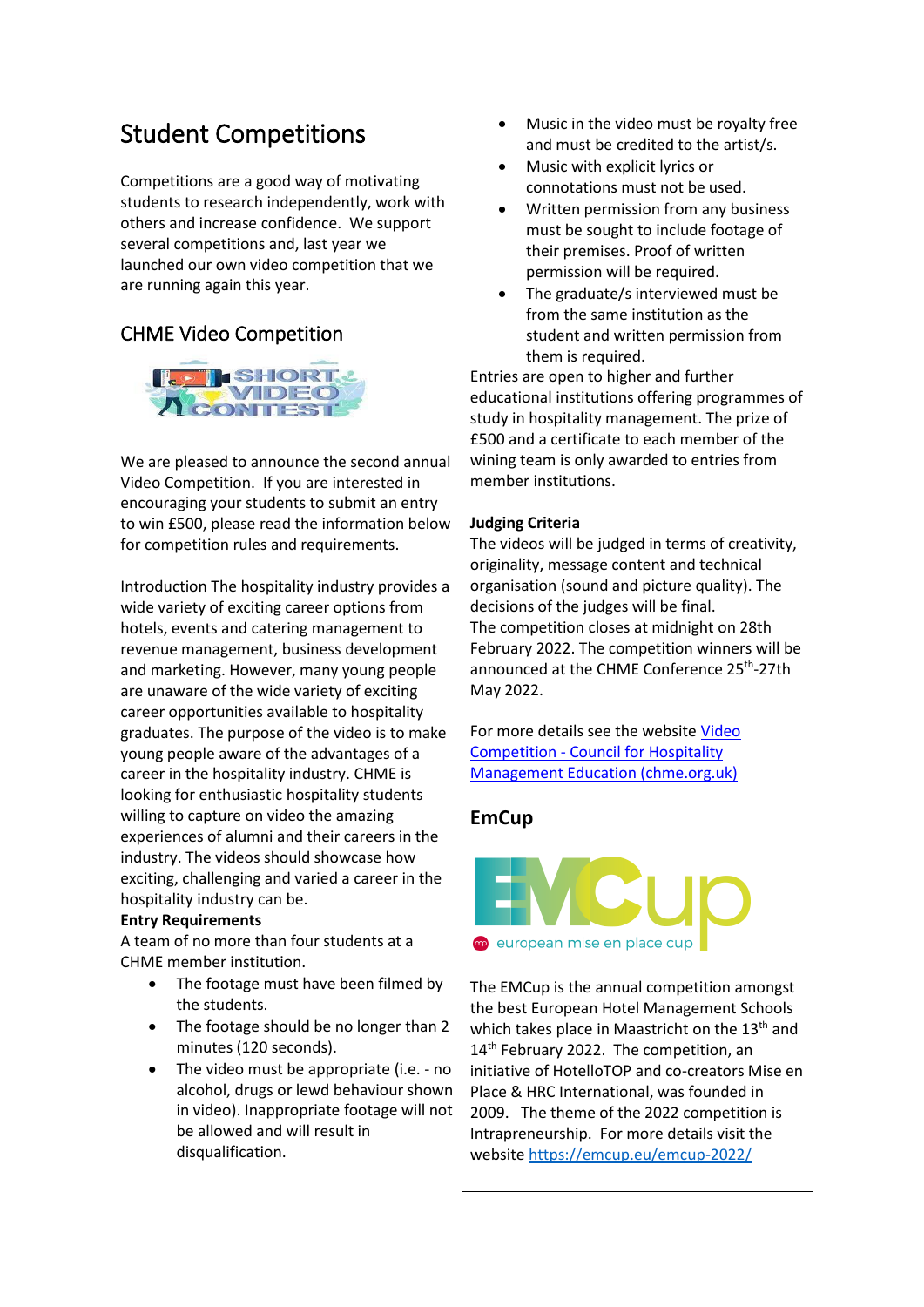# Student Competitions

Competitions are a good way of motivating students to research independently, work with others and increase confidence. We support several competitions and, last year we launched our own video competition that we are running again this year.

### CHME Video Competition



We are pleased to announce the second annual Video Competition. If you are interested in encouraging your students to submit an entry to win £500, please read the information below for competition rules and requirements.

Introduction The hospitality industry provides a wide variety of exciting career options from hotels, events and catering management to revenue management, business development and marketing. However, many young people are unaware of the wide variety of exciting career opportunities available to hospitality graduates. The purpose of the video is to make young people aware of the advantages of a career in the hospitality industry. CHME is looking for enthusiastic hospitality students willing to capture on video the amazing experiences of alumni and their careers in the industry. The videos should showcase how exciting, challenging and varied a career in the hospitality industry can be.

#### **Entry Requirements**

A team of no more than four students at a CHME member institution.

- The footage must have been filmed by the students.
- The footage should be no longer than 2 minutes (120 seconds).
- The video must be appropriate (i.e. no alcohol, drugs or lewd behaviour shown in video). Inappropriate footage will not be allowed and will result in disqualification.
- Music in the video must be royalty free and must be credited to the artist/s.
- Music with explicit lyrics or connotations must not be used.
- Written permission from any business must be sought to include footage of their premises. Proof of written permission will be required.
- The graduate/s interviewed must be from the same institution as the student and written permission from them is required.

Entries are open to higher and further educational institutions offering programmes of study in hospitality management. The prize of £500 and a certificate to each member of the wining team is only awarded to entries from member institutions.

#### **Judging Criteria**

The videos will be judged in terms of creativity, originality, message content and technical organisation (sound and picture quality). The decisions of the judges will be final. The competition closes at midnight on 28th February 2022. The competition winners will be announced at the CHME Conference 25<sup>th</sup>-27th May 2022.

For more details see the website Video Competition - Council for Hospitality Management Education (chme.org.uk)

#### **EmCup**



The EMCup is the annual competition amongst the best European Hotel Management Schools which takes place in Maastricht on the 13<sup>th</sup> and 14<sup>th</sup> February 2022. The competition, an initiative of HotelloTOP and co-creators Mise en Place & HRC International, was founded in 2009. The theme of the 2022 competition is Intrapreneurship. For more details visit the website https://emcup.eu/emcup-2022/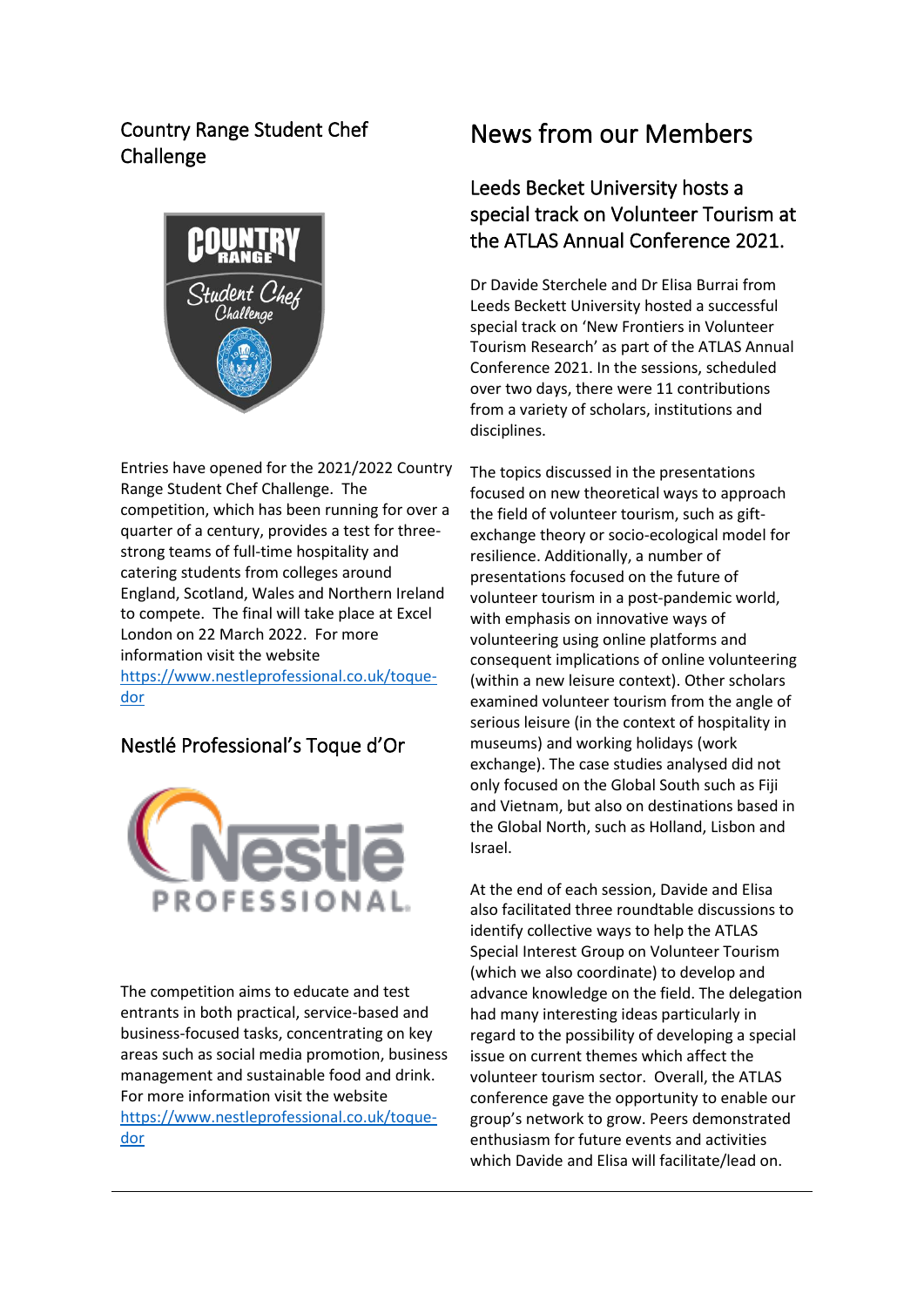### Country Range Student Chef Challenge



Entries have opened for the 2021/2022 Country Range Student Chef Challenge. The competition, which has been running for over a quarter of a century, provides a test for threestrong teams of full-time hospitality and catering students from colleges around England, Scotland, Wales and Northern Ireland to compete. The final will take place at Excel London on 22 March 2022. For more information visit the website https://www.nestleprofessional.co.uk/toquedor

### Nestlé Professional's Toque d'Or



The competition aims to educate and test entrants in both practical, service-based and business-focused tasks, concentrating on key areas such as social media promotion, business management and sustainable food and drink. For more information visit the website https://www.nestleprofessional.co.uk/toquedor

# News from our Members

### Leeds Becket University hosts a special track on Volunteer Tourism at the ATLAS Annual Conference 2021.

Dr Davide Sterchele and Dr Elisa Burrai from Leeds Beckett University hosted a successful special track on 'New Frontiers in Volunteer Tourism Research' as part of the ATLAS Annual Conference 2021. In the sessions, scheduled over two days, there were 11 contributions from a variety of scholars, institutions and disciplines.

The topics discussed in the presentations focused on new theoretical ways to approach the field of volunteer tourism, such as giftexchange theory or socio-ecological model for resilience. Additionally, a number of presentations focused on the future of volunteer tourism in a post-pandemic world, with emphasis on innovative ways of volunteering using online platforms and consequent implications of online volunteering (within a new leisure context). Other scholars examined volunteer tourism from the angle of serious leisure (in the context of hospitality in museums) and working holidays (work exchange). The case studies analysed did not only focused on the Global South such as Fiji and Vietnam, but also on destinations based in the Global North, such as Holland, Lisbon and Israel.

At the end of each session, Davide and Elisa also facilitated three roundtable discussions to identify collective ways to help the ATLAS Special Interest Group on Volunteer Tourism (which we also coordinate) to develop and advance knowledge on the field. The delegation had many interesting ideas particularly in regard to the possibility of developing a special issue on current themes which affect the volunteer tourism sector. Overall, the ATLAS conference gave the opportunity to enable our group's network to grow. Peers demonstrated enthusiasm for future events and activities which Davide and Elisa will facilitate/lead on.